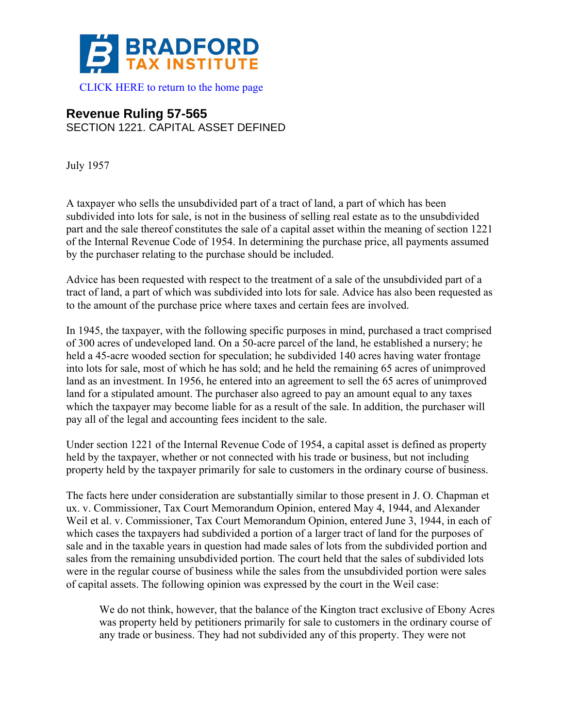

## **Revenue Ruling 57-565**

SECTION 1221. CAPITAL ASSET DEFINED

July 1957

A taxpayer who sells the unsubdivided part of a tract of land, a part of which has been subdivided into lots for sale, is not in the business of selling real estate as to the unsubdivided part and the sale thereof constitutes the sale of a capital asset within the meaning of section 1221 of the Internal Revenue Code of 1954. In determining the purchase price, all payments assumed by the purchaser relating to the purchase should be included.

Advice has been requested with respect to the treatment of a sale of the unsubdivided part of a tract of land, a part of which was subdivided into lots for sale. Advice has also been requested as to the amount of the purchase price where taxes and certain fees are involved.

In 1945, the taxpayer, with the following specific purposes in mind, purchased a tract comprised of 300 acres of undeveloped land. On a 50-acre parcel of the land, he established a nursery; he held a 45-acre wooded section for speculation; he subdivided 140 acres having water frontage into lots for sale, most of which he has sold; and he held the remaining 65 acres of unimproved land as an investment. In 1956, he entered into an agreement to sell the 65 acres of unimproved land for a stipulated amount. The purchaser also agreed to pay an amount equal to any taxes which the taxpayer may become liable for as a result of the sale. In addition, the purchaser will pay all of the legal and accounting fees incident to the sale.

Under section 1221 of the Internal Revenue Code of 1954, a capital asset is defined as property held by the taxpayer, whether or not connected with his trade or business, but not including property held by the taxpayer primarily for sale to customers in the ordinary course of business.

The facts here under consideration are substantially similar to those present in J. O. Chapman et ux. v. Commissioner, Tax Court Memorandum Opinion, entered May 4, 1944, and Alexander Weil et al. v. Commissioner, Tax Court Memorandum Opinion, entered June 3, 1944, in each of which cases the taxpayers had subdivided a portion of a larger tract of land for the purposes of sale and in the taxable years in question had made sales of lots from the subdivided portion and sales from the remaining unsubdivided portion. The court held that the sales of subdivided lots were in the regular course of business while the sales from the unsubdivided portion were sales of capital assets. The following opinion was expressed by the court in the Weil case:

We do not think, however, that the balance of the Kington tract exclusive of Ebony Acres was property held by petitioners primarily for sale to customers in the ordinary course of any trade or business. They had not subdivided any of this property. They were not